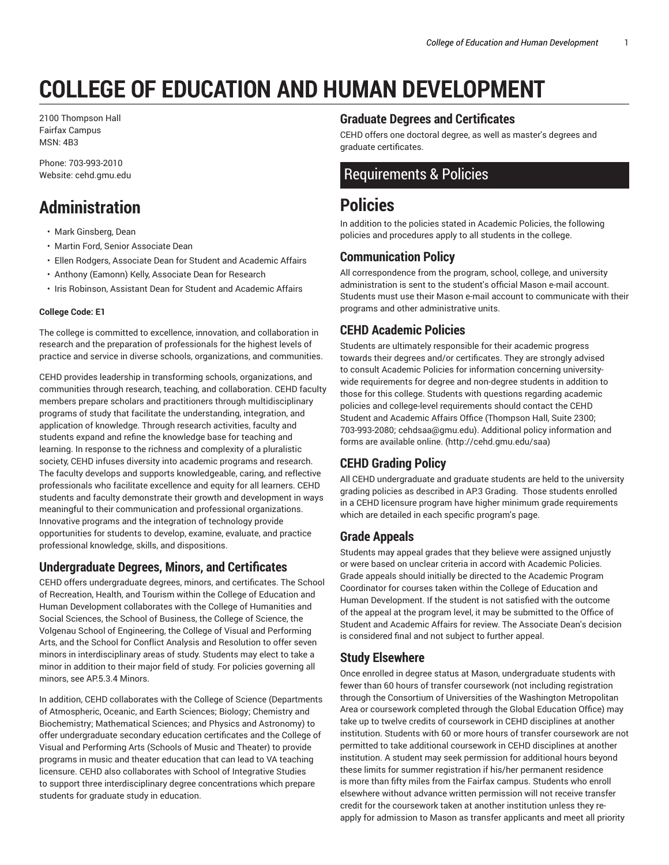# **COLLEGE OF EDUCATION AND HUMAN DEVELOPMENT**

2100 Thompson Hall Fairfax Campus MSN: 4B3

Phone: 703-993-2010 Website: cehd.gmu.edu

## **Administration**

- Mark Ginsberg, Dean
- Martin Ford, Senior Associate Dean
- Ellen Rodgers, Associate Dean for Student and Academic Affairs
- Anthony (Eamonn) Kelly, Associate Dean for Research
- Iris Robinson, Assistant Dean for Student and Academic Affairs

#### **College Code: E1**

The college is committed to excellence, innovation, and collaboration in research and the preparation of professionals for the highest levels of practice and service in diverse schools, organizations, and communities.

CEHD provides leadership in transforming schools, organizations, and communities through research, teaching, and collaboration. CEHD faculty members prepare scholars and practitioners through multidisciplinary programs of study that facilitate the understanding, integration, and application of knowledge. Through research activities, faculty and students expand and refine the knowledge base for teaching and learning. In response to the richness and complexity of a pluralistic society, CEHD infuses diversity into academic programs and research. The faculty develops and supports knowledgeable, caring, and reflective professionals who facilitate excellence and equity for all learners. CEHD students and faculty demonstrate their growth and development in ways meaningful to their communication and professional organizations. Innovative programs and the integration of technology provide opportunities for students to develop, examine, evaluate, and practice professional knowledge, skills, and dispositions.

#### **Undergraduate Degrees, Minors, and Certificates**

CEHD offers undergraduate degrees, minors, and certificates. The School of Recreation, Health, and Tourism within the College of Education and Human Development collaborates with the College of Humanities and Social Sciences, the School of Business, the College of Science, the Volgenau School of Engineering, the College of Visual and Performing Arts, and the School for Conflict Analysis and Resolution to offer seven minors in interdisciplinary areas of study. Students may elect to take a minor in addition to their major field of study. For policies governing all minors, see AP.5.3.4 Minors.

In addition, CEHD collaborates with the College of Science (Departments of Atmospheric, Oceanic, and Earth Sciences; Biology; Chemistry and Biochemistry; Mathematical Sciences; and Physics and Astronomy) to offer undergraduate secondary education certificates and the College of Visual and Performing Arts (Schools of Music and Theater) to provide programs in music and theater education that can lead to VA teaching licensure. CEHD also collaborates with School of Integrative Studies to support three interdisciplinary degree concentrations which prepare students for graduate study in education.

#### **Graduate Degrees and Certificates**

CEHD offers one doctoral degree, as well as master's degrees and graduate certificates.

### Requirements & Policies

## **Policies**

In addition to the policies stated in Academic Policies, the following policies and procedures apply to all students in the college.

#### **Communication Policy**

All correspondence from the program, school, college, and university administration is sent to the student's official Mason e-mail account. Students must use their Mason e-mail account to communicate with their programs and other administrative units.

#### **CEHD Academic Policies**

Students are ultimately responsible for their academic progress towards their degrees and/or certificates. They are strongly advised to consult Academic Policies for information concerning universitywide requirements for degree and non-degree students in addition to those for this college. Students with questions regarding academic policies and college-level requirements should contact the CEHD Student and Academic Affairs Office (Thompson Hall, Suite 2300; 703-993-2080; cehdsaa@gmu.edu). Additional policy information and forms are available online. (http://cehd.gmu.edu/saa)

#### **CEHD Grading Policy**

All CEHD undergraduate and graduate students are held to the university grading policies as described in AP.3 Grading. Those students enrolled in a CEHD licensure program have higher minimum grade requirements which are detailed in each specific program's page.

#### **Grade Appeals**

Students may appeal grades that they believe were assigned unjustly or were based on unclear criteria in accord with Academic Policies. Grade appeals should initially be directed to the Academic Program Coordinator for courses taken within the College of Education and Human Development. If the student is not satisfied with the outcome of the appeal at the program level, it may be submitted to the Office of Student and Academic Affairs for review. The Associate Dean's decision is considered final and not subject to further appeal.

#### **Study Elsewhere**

Once enrolled in degree status at Mason, undergraduate students with fewer than 60 hours of transfer coursework (not including registration through the Consortium of Universities of the Washington Metropolitan Area or coursework completed through the Global Education Office) may take up to twelve credits of coursework in CEHD disciplines at another institution. Students with 60 or more hours of transfer coursework are not permitted to take additional coursework in CEHD disciplines at another institution. A student may seek permission for additional hours beyond these limits for summer registration if his/her permanent residence is more than fifty miles from the Fairfax campus. Students who enroll elsewhere without advance written permission will not receive transfer credit for the coursework taken at another institution unless they reapply for admission to Mason as transfer applicants and meet all priority